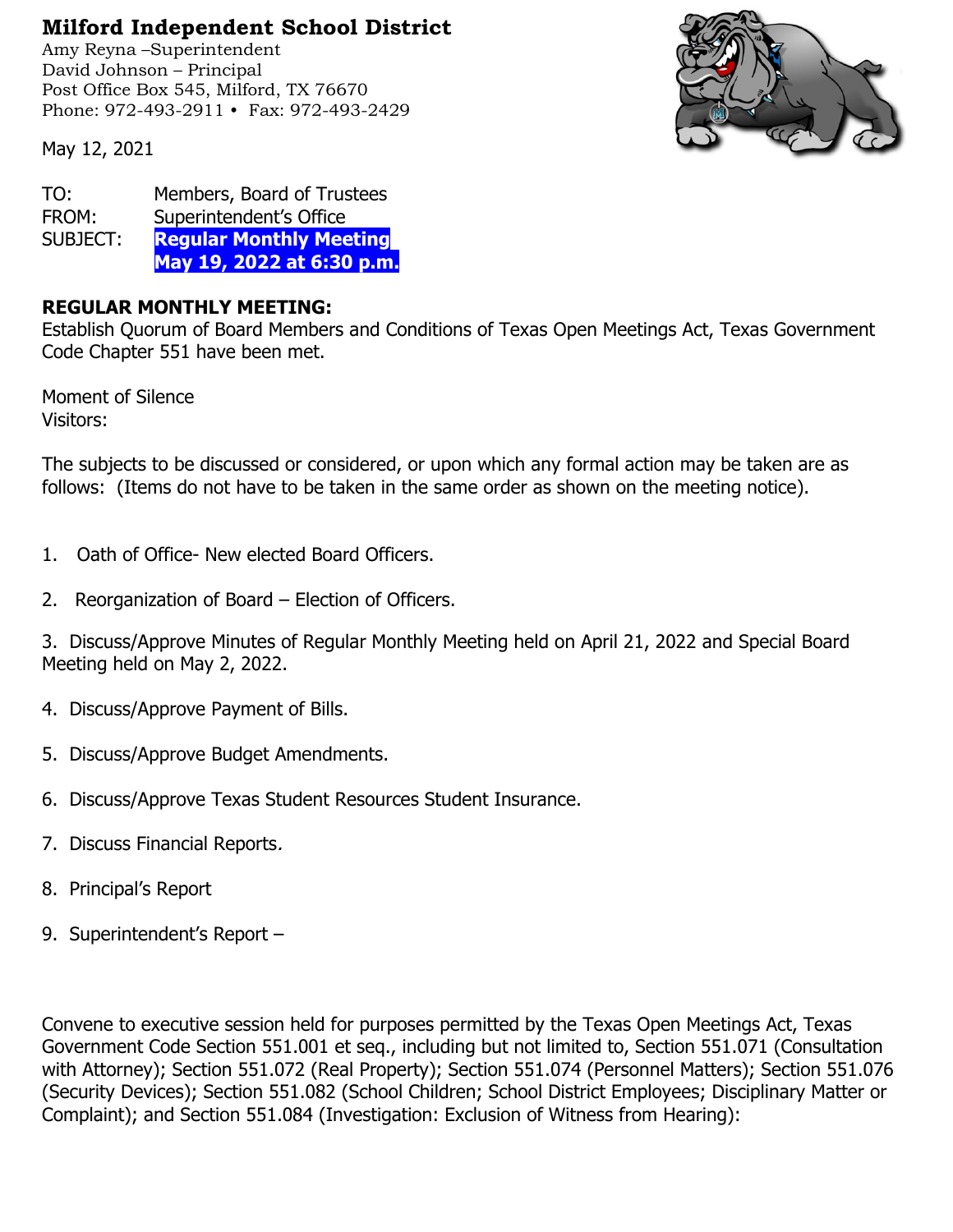## **Milford Independent School District**

Amy Reyna –Superintendent David Johnson – Principal Post Office Box 545, Milford, TX 76670 Phone: 972-493-2911 • Fax: 972-493-2429

May 12, 2021



TO: Members, Board of Trustees FROM: Superintendent's Office SUBJECT: **Regular Monthly Meeting May 19, 2022 at 6:30 p.m.**

## **REGULAR MONTHLY MEETING:**

Establish Quorum of Board Members and Conditions of Texas Open Meetings Act, Texas Government Code Chapter 551 have been met.

Moment of Silence Visitors:

The subjects to be discussed or considered, or upon which any formal action may be taken are as follows: (Items do not have to be taken in the same order as shown on the meeting notice).

- 1. Oath of Office- New elected Board Officers.
- 2. Reorganization of Board Election of Officers.

3. Discuss/Approve Minutes of Regular Monthly Meeting held on April 21, 2022 and Special Board Meeting held on May 2, 2022.

- 4. Discuss/Approve Payment of Bills.
- 5. Discuss/Approve Budget Amendments.
- 6. Discuss/Approve Texas Student Resources Student Insurance.
- 7. Discuss Financial Reports.
- 8. Principal's Report
- 9. Superintendent's Report –

Convene to executive session held for purposes permitted by the Texas Open Meetings Act, Texas Government Code Section 551.001 et seq., including but not limited to, Section 551.071 (Consultation with Attorney); Section 551.072 (Real Property); Section 551.074 (Personnel Matters); Section 551.076 (Security Devices); Section 551.082 (School Children; School District Employees; Disciplinary Matter or Complaint); and Section 551.084 (Investigation: Exclusion of Witness from Hearing):